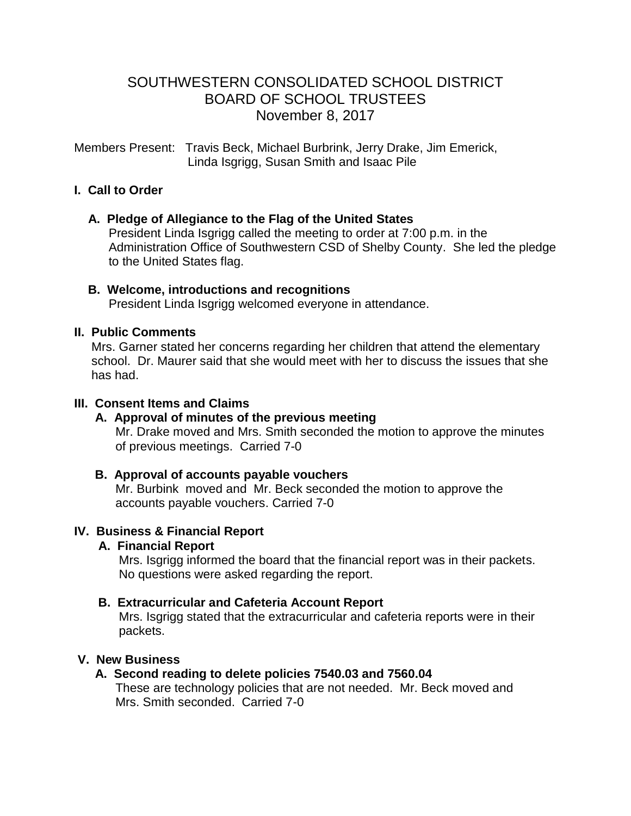# SOUTHWESTERN CONSOLIDATED SCHOOL DISTRICT BOARD OF SCHOOL TRUSTEES November 8, 2017

Members Present: Travis Beck, Michael Burbrink, Jerry Drake, Jim Emerick, Linda Isgrigg, Susan Smith and Isaac Pile

### **I. Call to Order**

### **A. Pledge of Allegiance to the Flag of the United States**

 President Linda Isgrigg called the meeting to order at 7:00 p.m. in the Administration Office of Southwestern CSD of Shelby County. She led the pledge to the United States flag.

#### **B. Welcome, introductions and recognitions**

President Linda Isgrigg welcomed everyone in attendance.

#### **II. Public Comments**

 Mrs. Garner stated her concerns regarding her children that attend the elementary school. Dr. Maurer said that she would meet with her to discuss the issues that she has had.

### **III. Consent Items and Claims**

# **A. Approval of minutes of the previous meeting**

Mr. Drake moved and Mrs. Smith seconded the motion to approve the minutes of previous meetings. Carried 7-0

#### **B. Approval of accounts payable vouchers**

 Mr. Burbink moved and Mr. Beck seconded the motion to approve the accounts payable vouchers. Carried 7-0

# **IV. Business & Financial Report**

# **A. Financial Report**

 Mrs. Isgrigg informed the board that the financial report was in their packets. No questions were asked regarding the report.

# **B. Extracurricular and Cafeteria Account Report**

Mrs. Isgrigg stated that the extracurricular and cafeteria reports were in their packets.

# **V. New Business**

# **A. Second reading to delete policies 7540.03 and 7560.04**

These are technology policies that are not needed. Mr. Beck moved and Mrs. Smith seconded. Carried 7-0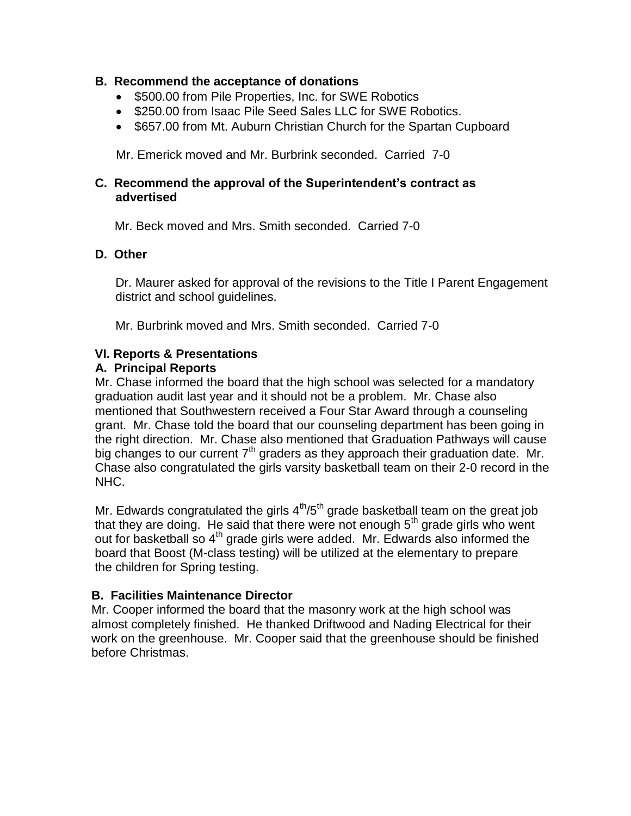### **B. Recommend the acceptance of donations**

- \$500.00 from Pile Properties, Inc. for SWE Robotics
- \$250.00 from Isaac Pile Seed Sales LLC for SWE Robotics.
- \$657.00 from Mt. Auburn Christian Church for the Spartan Cupboard

Mr. Emerick moved and Mr. Burbrink seconded. Carried 7-0

#### **C. Recommend the approval of the Superintendent's contract as advertised**

Mr. Beck moved and Mrs. Smith seconded. Carried 7-0

### **D. Other**

 Dr. Maurer asked for approval of the revisions to the Title I Parent Engagement district and school guidelines.

Mr. Burbrink moved and Mrs. Smith seconded. Carried 7-0

### **VI. Reports & Presentations**

#### **A. Principal Reports**

Mr. Chase informed the board that the high school was selected for a mandatory graduation audit last year and it should not be a problem. Mr. Chase also mentioned that Southwestern received a Four Star Award through a counseling grant. Mr. Chase told the board that our counseling department has been going in the right direction. Mr. Chase also mentioned that Graduation Pathways will cause big changes to our current  $7<sup>th</sup>$  graders as they approach their graduation date. Mr. Chase also congratulated the girls varsity basketball team on their 2-0 record in the NHC.

Mr. Edwards congratulated the girls  $4<sup>th</sup>/5<sup>th</sup>$  grade basketball team on the great job that they are doing. He said that there were not enough  $5<sup>th</sup>$  grade girls who went out for basketball so  $4<sup>th</sup>$  grade girls were added. Mr. Edwards also informed the board that Boost (M-class testing) will be utilized at the elementary to prepare the children for Spring testing.

# **B. Facilities Maintenance Director**

Mr. Cooper informed the board that the masonry work at the high school was almost completely finished. He thanked Driftwood and Nading Electrical for their work on the greenhouse. Mr. Cooper said that the greenhouse should be finished before Christmas.